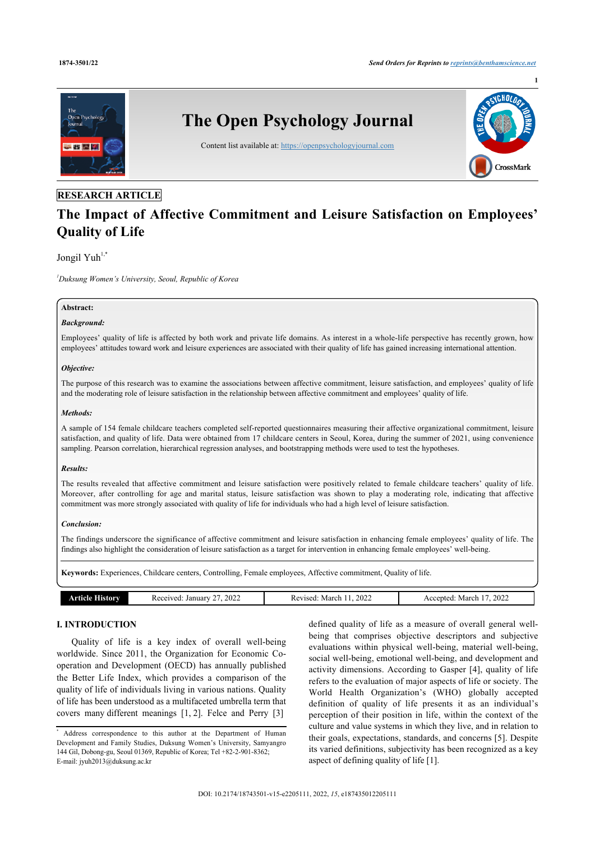

# **The Impact of Affective Commitment and Leisure Satisfaction on Employees' Quality of Life**

# Jongil Yuh $1,*$  $1,*$

<span id="page-0-0"></span>*<sup>1</sup>Duksung Women's University, Seoul, Republic of Korea*

### **Abstract:**

# *Background:*

Employees' quality of life is affected by both work and private life domains. As interest in a whole-life perspective has recently grown, how employees' attitudes toward work and leisure experiences are associated with their quality of life has gained increasing international attention.

#### *Objective:*

The purpose of this research was to examine the associations between affective commitment, leisure satisfaction, and employees' quality of life and the moderating role of leisure satisfaction in the relationship between affective commitment and employees' quality of life.

#### *Methods:*

A sample of 154 female childcare teachers completed self-reported questionnaires measuring their affective organizational commitment, leisure satisfaction, and quality of life. Data were obtained from 17 childcare centers in Seoul, Korea, during the summer of 2021, using convenience sampling. Pearson correlation, hierarchical regression analyses, and bootstrapping methods were used to test the hypotheses.

# *Results:*

The results revealed that affective commitment and leisure satisfaction were positively related to female childcare teachers' quality of life. Moreover, after controlling for age and marital status, leisure satisfaction was shown to play a moderating role, indicating that affective commitment was more strongly associated with quality of life for individuals who had a high level of leisure satisfaction.

# *Conclusion:*

The findings underscore the significance of affective commitment and leisure satisfaction in enhancing female employees' quality of life. The findings also highlight the consideration of leisure satisfaction as a target for intervention in enhancing female employees' well-being.

**Keywords:** Experiences, Childcare centers, Controlling, Female employees, Affective commitment, Quality of life.

| <b>Article History</b> | 2022<br>Received: January | 2022<br>March<br>Revised. | 2022<br>March<br>Accepted: |
|------------------------|---------------------------|---------------------------|----------------------------|
|                        |                           |                           |                            |

# **I. INTRODUCTION**

Quality of life is a key index of overall well-being worldwide. Since 2011, the Organization for Economic Cooperation and Development (OECD) has annually published the Better Life Index, which provides a comparison of the quality of life of individuals living in various nations. Quality of life has been understood as a multifaceted umbrella term that covers many different meanings [\[1,](#page-6-0) [2\]](#page-6-1). Felce and Perry [\[3\]](#page-6-2)

defined quality of life as a measure of overall general wellbeing that comprises objective descriptors and subjective evaluations within physical well-being, material well-being, social well-being, emotional well-being, and development and activity dimensions. According to Gasper [[4\]](#page-6-3), quality of life refers to the evaluation of major aspects of life or society. The World Health Organization's (WHO) globally accepted definition of quality of life presents it as an individual's perception of their position in life, within the context of the culture and value systems in which they live, and in relation to their goals, expectations, standards, and concerns [[5\]](#page-6-4). Despite its varied definitions, subjectivity has been recognized as a key aspect of defining quality of life [[1](#page-6-0)].

<span id="page-0-1"></span><sup>\*</sup> Address correspondence to this author at the Department of Human Development and Family Studies, Duksung Women's University, Samyangro 144 Gil, Dobong-gu, Seoul 01369, Republic of Korea; Tel +82-2-901-8362; E-mail: [jyuh2013@duksung.ac.kr](mailto:jyuh2013@duksung.ac.kr)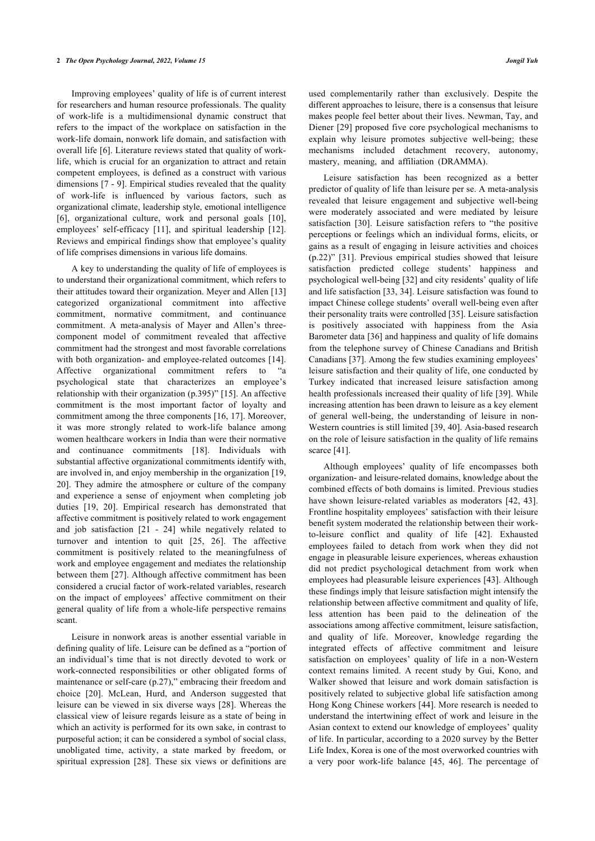#### **2** *The Open Psychology Journal, 2022, Volume 15 Jongil Yuh*

Improving employees' quality of life is of current interest for researchers and human resource professionals. The quality of work-life is a multidimensional dynamic construct that refers to the impact of the workplace on satisfaction in the work-life domain, nonwork life domain, and satisfaction with overall life [[6](#page-6-5)]. Literature reviews stated that quality of worklife, which is crucial for an organization to attract and retain competent employees, is defined as a construct with various dimensions [\[7](#page-6-6) - [9\]](#page-6-7). Empirical studies revealed that the quality of work-life is influenced by various factors, such as organizational climate, leadership style, emotional intelligence [[6](#page-6-5)], organizational culture, work and personal goals[[10\]](#page-6-8), employees' self-efficacy [\[11\]](#page-6-9),and spiritual leadership [[12\]](#page-6-10). Reviews and empirical findings show that employee's quality of life comprises dimensions in various life domains.

A key to understanding the quality of life of employees is to understand their organizational commitment, which refers to their attitudes toward their organization. Meyer and Allen [\[13](#page-6-11)] categorized organizational commitment into affective commitment, normative commitment, and continuance commitment. A meta-analysis of Mayer and Allen's threecomponent model of commitment revealed that affective commitment had the strongest and most favorable correlations with both organization- and employee-related outcomes [[14\]](#page-6-12). Affective organizational commitment refers to "a psychological state that characterizes an employee's relationship with their organization (p.395)" [\[15](#page-6-13)]. An affective commitment is the most important factor of loyalty and commitment among the three components [[16](#page-6-14), [17](#page-6-15)]. Moreover, it was more strongly related to work-life balance among women healthcare workers in India than were their normative and continuance commitments [\[18\]](#page-6-16). Individuals with substantial affective organizational commitments identify with, are involved in, and enjoy membership in the organization [[19](#page-6-17), [20\]](#page-6-18). They admire the atmosphere or culture of the company and experience a sense of enjoyment when completing job duties[[19](#page-6-17), [20\]](#page-6-18). Empirical research has demonstrated that affective commitment is positively related to work engagement and job satisfaction[[21](#page-6-19) - [24\]](#page-7-0) while negatively related to turnover and intention to quit[[25](#page-7-1), [26\]](#page-7-2). The affective commitment is positively related to the meaningfulness of work and employee engagement and mediates the relationship between them [\[27\]](#page-7-3). Although affective commitment has been considered a crucial factor of work-related variables, research on the impact of employees' affective commitment on their general quality of life from a whole-life perspective remains scant.

Leisure in nonwork areas is another essential variable in defining quality of life. Leisure can be defined as a "portion of an individual's time that is not directly devoted to work or work-connected responsibilities or other obligated forms of maintenance or self-care (p.27)," embracing their freedom and choice[[20\]](#page-6-18). McLean, Hurd, and Anderson suggested that leisure can be viewed in six diverse ways [[28](#page-7-4)]. Whereas the classical view of leisure regards leisure as a state of being in which an activity is performed for its own sake, in contrast to purposeful action; it can be considered a symbol of social class, unobligated time, activity, a state marked by freedom, or spiritual expression[[28](#page-7-4)]. These six views or definitions are

used complementarily rather than exclusively. Despite the different approaches to leisure, there is a consensus that leisure makes people feel better about their lives. Newman, Tay, and Diener [\[29](#page-7-5)] proposed five core psychological mechanisms to explain why leisure promotes subjective well-being; these mechanisms included detachment recovery, autonomy, mastery, meaning, and affiliation (DRAMMA).

Leisure satisfaction has been recognized as a better predictor of quality of life than leisure per se. A meta-analysis revealed that leisure engagement and subjective well-being were moderately associated and were mediated by leisure satisfaction [\[30](#page-7-6)]. Leisure satisfaction refers to "the positive perceptions or feelings which an individual forms, elicits, or gains as a result of engaging in leisure activities and choices (p.22)" [\[31](#page-7-7)]. Previous empirical studies showed that leisure satisfaction predicted college students' happiness and psychological well-being [[32\]](#page-7-8) and city residents' quality of life and life satisfaction [\[33,](#page-7-9) [34](#page-7-10)]. Leisure satisfaction was found to impact Chinese college students' overall well-being even after their personality traits were controlled [[35\]](#page-7-11). Leisure satisfaction is positively associated with happiness from the Asia Barometer data [[36\]](#page-7-12) and happiness and quality of life domains from the telephone survey of Chinese Canadians and British Canadians [\[37](#page-7-13)]. Among the few studies examining employees' leisure satisfaction and their quality of life, one conducted by Turkey indicated that increased leisure satisfaction among health professionals increased their quality of life [[39](#page-7-14)]. While increasing attention has been drawn to leisure as a key element of general well-being, the understanding of leisure in non-Western countries is still limited [\[39](#page-7-14), [40](#page-7-15)]. Asia-based research on the role of leisure satisfaction in the quality of life remains scarce [[41\]](#page-7-16).

Although employees' quality of life encompasses both organization- and leisure-related domains, knowledge about the combined effects of both domains is limited. Previous studies have shown leisure-related variables as moderators [\[42](#page-7-17), [43](#page-7-18)]. Frontline hospitality employees' satisfaction with their leisure benefit system moderated the relationship between their workto-leisure conflict and quality of life [\[42\]](#page-7-17). Exhausted employees failed to detach from work when they did not engage in pleasurable leisure experiences, whereas exhaustion did not predict psychological detachment from work when employees had pleasurable leisure experiences [[43](#page-7-18)]. Although these findings imply that leisure satisfaction might intensify the relationship between affective commitment and quality of life, less attention has been paid to the delineation of the associations among affective commitment, leisure satisfaction, and quality of life. Moreover, knowledge regarding the integrated effects of affective commitment and leisure satisfaction on employees' quality of life in a non-Western context remains limited. A recent study by Gui, Kono, and Walker showed that leisure and work domain satisfaction is positively related to subjective global life satisfaction among Hong Kong Chinese workers [[44\]](#page-7-19). More research is needed to understand the intertwining effect of work and leisure in the Asian context to extend our knowledge of employees' quality of life. In particular, according to a 2020 survey by the Better Life Index, Korea is one of the most overworked countries with a very poor work-life balance [\[45,](#page-7-0) [46](#page-7-20)]. The percentage of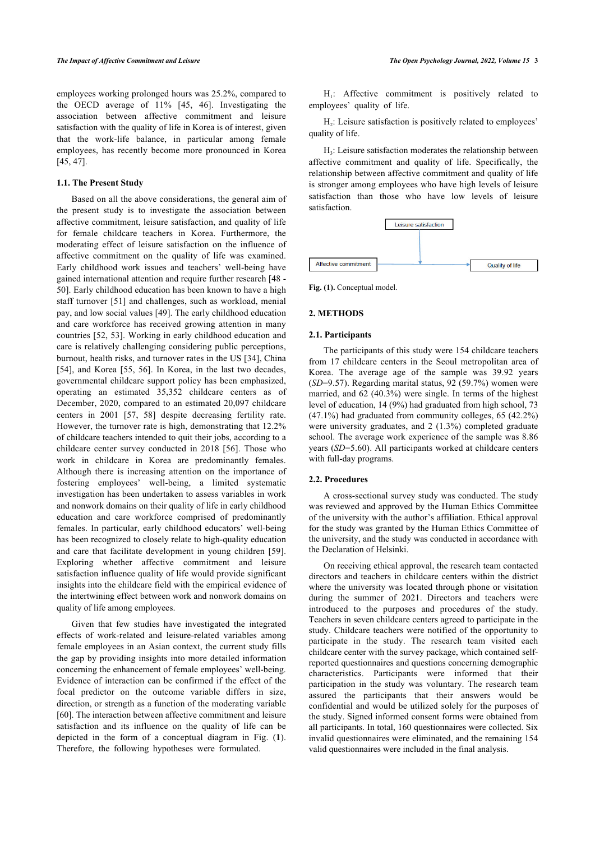employees working prolonged hours was 25.2%, compared to the OECD average of 11% [\[45,](#page-7-0) [46](#page-7-20)]. Investigating the association between affective commitment and leisure satisfaction with the quality of life in Korea is of interest, given that the work-life balance, in particular among female employees, has recently become more pronounced in Korea [[45,](#page-7-0) [47](#page-7-21)].

#### **1.1. The Present Study**

<span id="page-2-0"></span>Based on all the above considerations, the general aim of the present study is to investigate the association between affective commitment, leisure satisfaction, and quality of life for female childcare teachers in Korea. Furthermore, the moderating effect of leisure satisfaction on the influence of affective commitment on the quality of life was examined. Early childhood work issues and teachers' well-being have gained international attention and require further research [[48](#page-7-3) - [50\]](#page-7-5). Early childhood education has been known to have a high staff turnover [[51](#page-7-22)] and challenges, such as workload, menial pay, and low social values [\[49](#page-7-4)]. The early childhood education and care workforce has received growing attention in many countries [\[52,](#page-7-7) [53\]](#page-7-23). Working in early childhood education and care is relatively challenging considering public perceptions, burnout, health risks, and turnover rates in the US [\[34\]](#page-7-10), China [[54\]](#page-7-24), and Korea [[55,](#page-7-10) [56\]](#page-7-25). In Korea, in the last two decades, governmental childcare support policy has been emphasized, operating an estimated 35,352 childcare centers as of December, 2020, compared to an estimated 20,097 childcare centers in 2001[[57](#page-7-26), [58\]](#page-7-27) despite decreasing fertility rate. However, the turnover rate is high, demonstrating that 12.2% of childcare teachers intended to quit their jobs, according to a childcare center survey conducted in 2018 [\[56](#page-7-25)]. Those who work in childcare in Korea are predominantly females. Although there is increasing attention on the importance of fostering employees' well-being, a limited systematic investigation has been undertaken to assess variables in work and nonwork domains on their quality of life in early childhood education and care workforce comprised of predominantly females. In particular, early childhood educators' well-being has been recognized to closely relate to high-quality education and care that facilitate development in young children[[59\]](#page-7-28). Exploring whether affective commitment and leisure satisfaction influence quality of life would provide significant insights into the childcare field with the empirical evidence of the intertwining effect between work and nonwork domains on quality of life among employees.

Given that few studies have investigated the integrated effects of work-related and leisure-related variables among female employees in an Asian context, the current study fills the gap by providing insights into more detailed information concerning the enhancement of female employees' well-being. Evidence of interaction can be confirmed if the effect of the focal predictor on the outcome variable differs in size, direction, or strength as a function of the moderating variable [[60\]](#page-7-29). The interaction between affective commitment and leisure satisfaction and its influence on the quality of life can be depicted in the form of a conceptual diagram in Fig. (**[1](#page-2-0)**). Therefore, the following hypotheses were formulated.

H<sub>1</sub>: Affective commitment is positively related to employees' quality of life.

 $H_2$ : Leisure satisfaction is positively related to employees' quality of life.

H3 : Leisure satisfaction moderates the relationship between affective commitment and quality of life. Specifically, the relationship between affective commitment and quality of life is stronger among employees who have high levels of leisure satisfaction than those who have low levels of leisure satisfaction.



Fig. (1). Conceptual model.

# **2. METHODS**

#### **2.1. Participants**

The participants of this study were 154 childcare teachers from 17 childcare centers in the Seoul metropolitan area of Korea. The average age of the sample was 39.92 years (*SD*=9.57). Regarding marital status, 92 (59.7%) women were married, and 62 (40.3%) were single. In terms of the highest level of education, 14 (9%) had graduated from high school, 73 (47.1%) had graduated from community colleges, 65 (42.2%) were university graduates, and 2 (1.3%) completed graduate school. The average work experience of the sample was 8.86 years (*SD*=5.60). All participants worked at childcare centers with full-day programs.

#### **2.2. Procedures**

A cross-sectional survey study was conducted. The study was reviewed and approved by the Human Ethics Committee of the university with the author's affiliation. Ethical approval for the study was granted by the Human Ethics Committee of the university, and the study was conducted in accordance with the Declaration of Helsinki.

On receiving ethical approval, the research team contacted directors and teachers in childcare centers within the district where the university was located through phone or visitation during the summer of 2021. Directors and teachers were introduced to the purposes and procedures of the study. Teachers in seven childcare centers agreed to participate in the study. Childcare teachers were notified of the opportunity to participate in the study. The research team visited each childcare center with the survey package, which contained selfreported questionnaires and questions concerning demographic characteristics. Participants were informed that their participation in the study was voluntary. The research team assured the participants that their answers would be confidential and would be utilized solely for the purposes of the study. Signed informed consent forms were obtained from all participants. In total, 160 questionnaires were collected. Six invalid questionnaires were eliminated, and the remaining 154 valid questionnaires were included in the final analysis.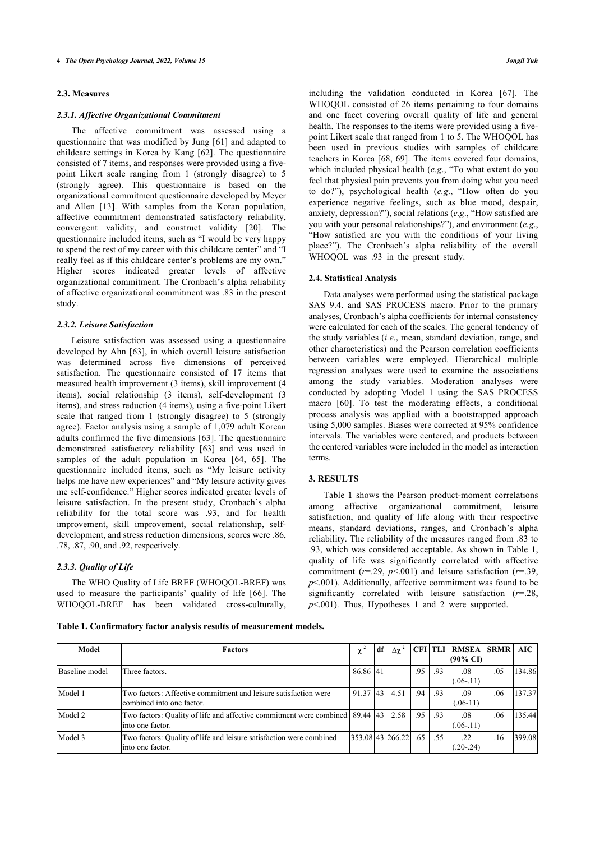#### **2.3. Measures**

#### *2.3.1. Affective Organizational Commitment*

The affective commitment was assessed using a questionnaire that was modified by Jung [[61](#page-7-30)] and adapted to childcare settings in Korea by Kang [[62](#page-7-31)]. The questionnaire consisted of 7 items, and responses were provided using a fivepoint Likert scale ranging from 1 (strongly disagree) to 5 (strongly agree). This questionnaire is based on the organizational commitment questionnaire developed by Meyer and Allen[[13\]](#page-6-11). With samples from the Koran population, affective commitment demonstrated satisfactory reliability, convergent validity, and construct validity[[20](#page-6-18)]. The questionnaire included items, such as "I would be very happy to spend the rest of my career with this childcare center" and "I really feel as if this childcare center's problems are my own." Higher scores indicated greater levels of affective organizational commitment. The Cronbach's alpha reliability of affective organizational commitment was .83 in the present study.

#### *2.3.2. Leisure Satisfaction*

Leisure satisfaction was assessed using a questionnaire developed by Ahn [[63\]](#page-7-32), in which overall leisure satisfaction was determined across five dimensions of perceived satisfaction. The questionnaire consisted of 17 items that measured health improvement (3 items), skill improvement (4 items), social relationship (3 items), self-development (3 items), and stress reduction (4 items), using a five-point Likert scale that ranged from 1 (strongly disagree) to 5 (strongly agree). Factor analysis using a sample of 1,079 adult Korean adults confirmed the five dimensions [[63](#page-7-32)]. The questionnaire demonstrated satisfactory reliability[[63](#page-7-32)] and was used in samplesof the adult population in Korea [[64](#page-8-0), [65](#page-8-1)]. The questionnaire included items, such as "My leisure activity helps me have new experiences" and "My leisure activity gives me self-confidence." Higher scores indicated greater levels of leisure satisfaction. In the present study, Cronbach's alpha reliability for the total score was .93, and for health improvement, skill improvement, social relationship, selfdevelopment, and stress reduction dimensions, scores were .86, .78, .87, .90, and .92, respectively.

# *2.3.3. Quality of Life*

The WHO Quality of Life BREF (WHOQOL-BREF) was used to measure the participants' quality of life[[66](#page-8-2)]. The WHOQOL-BREF has been validated cross-culturally,

including the validation conducted in Korea[[67](#page-8-3)]. The WHOQOL consisted of 26 items pertaining to four domains and one facet covering overall quality of life and general health. The responses to the items were provided using a fivepoint Likert scale that ranged from 1 to 5. The WHOQOL has been used in previous studies with samples of childcare teachers in Korea [\[68,](#page-8-4) [69](#page-8-5)]. The items covered four domains, which included physical health (*e.g*., "To what extent do you feel that physical pain prevents you from doing what you need to do?"), psychological health (*e.g*., "How often do you experience negative feelings, such as blue mood, despair, anxiety, depression?"), social relations (*e.g*., "How satisfied are you with your personal relationships?"), and environment (*e.g*., "How satisfied are you with the conditions of your living place?"). The Cronbach's alpha reliability of the overall WHOQOL was .93 in the present study.

#### **2.4. Statistical Analysis**

Data analyses were performed using the statistical package SAS 9.4. and SAS PROCESS macro. Prior to the primary analyses, Cronbach's alpha coefficients for internal consistency were calculated for each of the scales. The general tendency of the study variables (*i.e*., mean, standard deviation, range, and other characteristics) and the Pearson correlation coefficients between variables were employed. Hierarchical multiple regression analyses were used to examine the associations among the study variables. Moderation analyses were conducted by adopting Model 1 using the SAS PROCESS macro[[60](#page-7-29)]. To test the moderating effects, a conditional process analysis was applied with a bootstrapped approach using 5,000 samples. Biases were corrected at 95% confidence intervals. The variables were centered, and products between the centered variables were included in the model as interaction terms.

#### **3. RESULTS**

Table **[1](#page-3-0)** shows the Pearson product-moment correlations among affective organizational commitment, leisure satisfaction, and quality of life along with their respective means, standard deviations, ranges, and Cronbach's alpha reliability. The reliability of the measures ranged from .83 to .93, which was considered acceptable. As shown in Table **[1](#page-3-0)**, quality of life was significantly correlated with affective commitment ( $r=29$ ,  $p<001$ ) and leisure satisfaction ( $r=39$ , *p*<.001). Additionally, affective commitment was found to be significantly correlated with leisure satisfaction (*r*=.28, *p*<.001). Thus, Hypotheses 1 and 2 were supported.

<span id="page-3-0"></span>**Table 1. Confirmatory factor analysis results of measurement models.**

| Model          | <b>Factors</b>                                                                                         |          | df <sup>1</sup> | Δχ                  |         |     | CFI TLI RMSEA SRMR AIC<br>$(90\% \text{ CI})$ |     |        |
|----------------|--------------------------------------------------------------------------------------------------------|----------|-----------------|---------------------|---------|-----|-----------------------------------------------|-----|--------|
| Baseline model | Three factors.                                                                                         | 86.86 41 |                 |                     | .95     | .93 | .08<br>$(.06-.11)$                            | .05 | 134.86 |
| Model 1        | Two factors: Affective commitment and leisure satisfaction were<br>combined into one factor.           | 91.37 43 |                 | 4.51                | .94     | .93 | .09<br>$(.06-11)$                             | .06 | 137.37 |
| Model 2        | Two factors: Quality of life and affective commitment were combined 89.44 43 2.58<br>linto one factor. |          |                 |                     | $.95 -$ | .93 | .08<br>$(.06-.11)$                            | .06 | 135.44 |
| Model 3        | Two factors: Quality of life and leisure satisfaction were combined<br>linto one factor.               |          |                 | 353.08 43 266.22 65 |         | .55 | 22<br>$(.20-.24)$                             | .16 | 399.08 |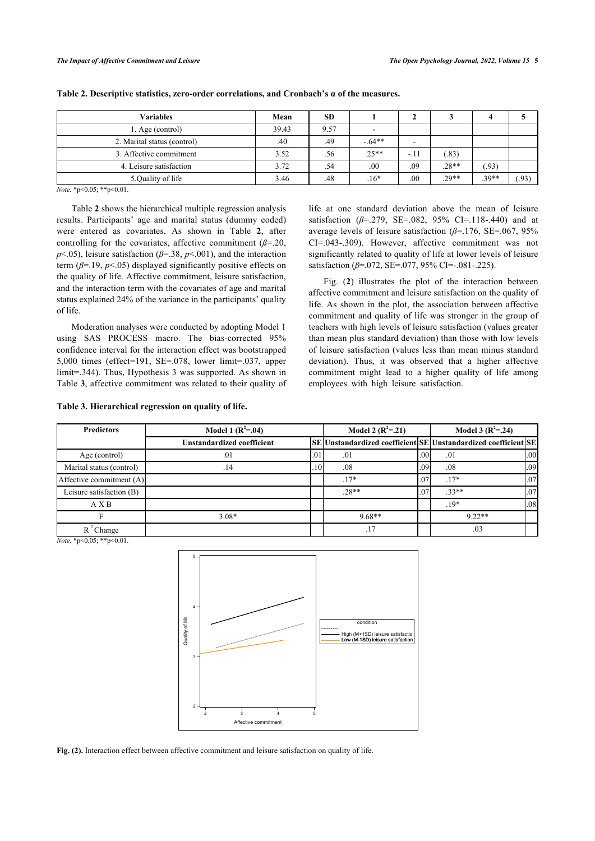| <b>Variables</b>            | Mean  | <b>SD</b> |                          |       |         |         |               |
|-----------------------------|-------|-----------|--------------------------|-------|---------|---------|---------------|
| 1. Age (control)            | 39.43 | 9.57      | $\overline{\phantom{0}}$ |       |         |         |               |
| 2. Marital status (control) | .40   | .49       | $-64**$                  | -     |         |         |               |
| 3. Affective commitment     | 3.52  | .56       | $.25**$                  | $-11$ | .83)    |         |               |
| 4. Leisure satisfaction     | 3.72  | .54       | .00                      | .09   | $.28**$ | .93)    |               |
| 5.Quality of life           | 3.46  | .48       | $.16*$                   | .00   | $.29**$ | $.39**$ | $.93^{\circ}$ |

<span id="page-4-0"></span>

*Note.* \*p<0.05; \*\*p<0.01.

Table **[2](#page-4-0)** shows the hierarchical multiple regression analysis results. Participants' age and marital status (dummy coded) were entered as covariates. As shown in Table**2**, after controlling for the covariates, affective commitment (*ß*=.20, *p*<.05), leisure satisfaction (*ß*=.38, *p*<.001), and the interaction term  $(\beta = 19, p < 05)$  displayed significantly positive effects on the quality of life. Affective commitment, leisure satisfaction, and the interaction term with the covariates of age and marital status explained 24% of the variance in the participants' quality of life.

Moderation analyses were conducted by adopting Model 1 using SAS PROCESS macro. The bias-corrected 95% confidence interval for the interaction effect was bootstrapped 5,000 times (effect=191, SE=.078, lower limit=.037, upper limit=.344). Thus, Hypothesis 3 was supported. As shown in Table **[3](#page-4-1)**, affective commitment was related to their quality of

<span id="page-4-1"></span>**Table 3. Hierarchical regression on quality of life.**

life at one standard deviation above the mean of leisure satisfaction ( $\beta$ =.279, SE=.082, 95% CI=.118-.440) and at average levels of leisure satisfaction (*ß*=.176, SE=.067, 95% CI=.043-.309). However, affective commitment was not significantly related to quality of life at lower levels of leisure satisfaction (β=.072, SE=.077, 95% CI=-.081-.225).

Fig. (**[2](#page-4-2)**) illustrates the plot of the interaction between affective commitment and leisure satisfaction on the quality of life. As shown in the plot, the association between affective commitment and quality of life was stronger in the group of teachers with high levels of leisure satisfaction (values greater than mean plus standard deviation) than those with low levels of leisure satisfaction (values less than mean minus standard deviation). Thus, it was observed that a higher affective commitment might lead to a higher quality of life among employees with high leisure satisfaction.

| <b>Predictors</b>        | Model 1 $(R^2=.04)$               |     | Model 2 $(R^2=21)$                                             | Model 3 $(R^2=0.24)$ |          |                  |
|--------------------------|-----------------------------------|-----|----------------------------------------------------------------|----------------------|----------|------------------|
|                          | <b>Unstandardized coefficient</b> |     | SE Unstandardized coefficient SE Unstandardized coefficient SE |                      |          |                  |
| Age (control)            | .01                               | .01 | .01                                                            | .00 <sub>l</sub>     | .01      | .00 <sub>1</sub> |
| Marital status (control) | .14                               | -10 | .08                                                            | .09 <sub>l</sub>     | .08      | .09              |
| Affective commitment (A) |                                   |     | $.17*$                                                         | .07                  | $.17*$   | .07              |
| Leisure satisfaction (B) |                                   |     | $.28**$                                                        | .07                  | $33**$   | .07              |
| A X B                    |                                   |     |                                                                |                      | $19*$    | .08              |
|                          | $3.08*$                           |     | $9.68**$                                                       |                      | $9.22**$ |                  |
| $R^2$ Change             |                                   |     |                                                                |                      | .03      |                  |

<span id="page-4-2"></span>*Note.* \*p<0.05; \*\*p<0.01.



**Fig. (2).** Interaction effect between affective commitment and leisure satisfaction on quality of life.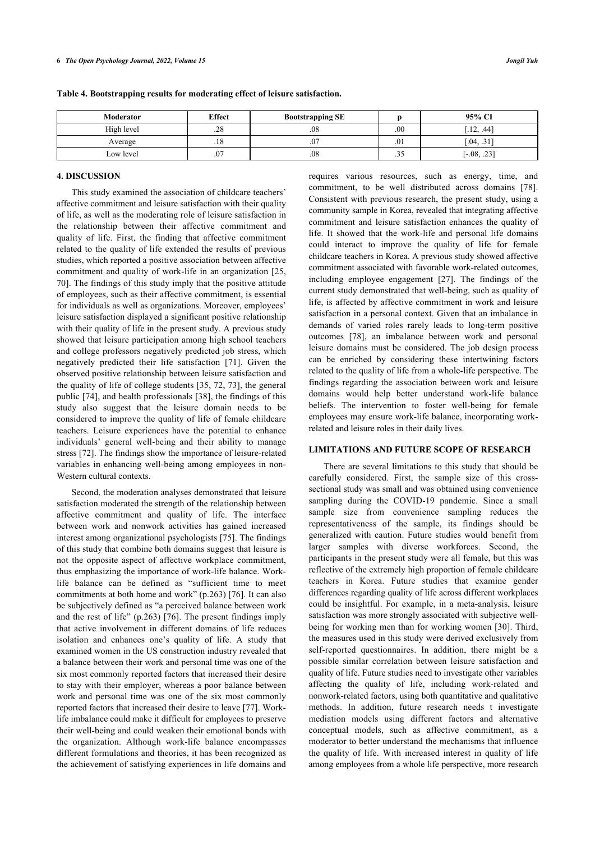| Moderator  | <b>Effect</b><br><b>Bootstrapping SE</b> |          |                      | 95% CI        |
|------------|------------------------------------------|----------|----------------------|---------------|
| High level | .28                                      | $_{.08}$ | .00                  | .12, .44]     |
| Average    | .18                                      | .07      | .01                  | $.04, .31$ ]  |
| Low level  | .07                                      | .08      | $\sim$ $\sim$<br>.33 | $[-.08, .23]$ |

#### **4. DISCUSSION**

This study examined the association of childcare teachers' affective commitment and leisure satisfaction with their quality of life, as well as the moderating role of leisure satisfaction in the relationship between their affective commitment and quality of life. First, the finding that affective commitment related to the quality of life extended the results of previous studies, which reported a positive association between affective commitment and quality of work-life in an organization [[25](#page-7-1), [70\]](#page-8-6). The findings of this study imply that the positive attitude of employees, such as their affective commitment, is essential for individuals as well as organizations. Moreover, employees' leisure satisfaction displayed a significant positive relationship with their quality of life in the present study. A previous study showed that leisure participation among high school teachers and college professors negatively predicted job stress, which negatively predicted their life satisfaction [\[71\]](#page-8-7). Given the observed positive relationship between leisure satisfaction and the quality of life of college students [[35,](#page-7-11) [72](#page-8-8), [73](#page-8-9)], the general public [[74\]](#page-8-10), and health professionals [\[38\]](#page-7-33), the findings of this study also suggest that the leisure domain needs to be considered to improve the quality of life of female childcare teachers. Leisure experiences have the potential to enhance individuals' general well-being and their ability to manage stress [\[72](#page-8-8)]. The findings show the importance of leisure-related variables in enhancing well-being among employees in non-Western cultural contexts.

Second, the moderation analyses demonstrated that leisure satisfaction moderated the strength of the relationship between affective commitment and quality of life. The interface between work and nonwork activities has gained increased interest among organizational psychologists [[75](#page-8-11)]. The findings of this study that combine both domains suggest that leisure is not the opposite aspect of affective workplace commitment, thus emphasizing the importance of work-life balance. Worklife balance can be defined as "sufficient time to meet commitments at both home and work" (p.263) [[76\]](#page-8-12). It can also be subjectively defined as "a perceived balance between work and the rest of life" (p.263) [[76](#page-8-12)]. The present findings imply that active involvement in different domains of life reduces isolation and enhances one's quality of life. A study that examined women in the US construction industry revealed that a balance between their work and personal time was one of the six most commonly reported factors that increased their desire to stay with their employer, whereas a poor balance between work and personal time was one of the six most commonly reported factors that increased their desire to leave [[77](#page-8-13)]. Worklife imbalance could make it difficult for employees to preserve their well-being and could weaken their emotional bonds with the organization. Although work-life balance encompasses different formulations and theories, it has been recognized as the achievement of satisfying experiences in life domains and requires various resources, such as energy, time, and commitment, to be well distributed across domains[[78](#page-8-14)]. Consistent with previous research, the present study, using a community sample in Korea, revealed that integrating affective commitment and leisure satisfaction enhances the quality of life. It showed that the work-life and personal life domains could interact to improve the quality of life for female childcare teachers in Korea. A previous study showed affective commitment associated with favorable work-related outcomes, including employee engagement [\[27\]](#page-7-3). The findings of the current study demonstrated that well-being, such as quality of life, is affected by affective commitment in work and leisure satisfaction in a personal context. Given that an imbalance in demands of varied roles rarely leads to long-term positive outcomes[[78\]](#page-8-14), an imbalance between work and personal leisure domains must be considered. The job design process can be enriched by considering these intertwining factors related to the quality of life from a whole-life perspective. The findings regarding the association between work and leisure domains would help better understand work-life balance beliefs. The intervention to foster well-being for female employees may ensure work-life balance, incorporating workrelated and leisure roles in their daily lives.

#### **LIMITATIONS AND FUTURE SCOPE OF RESEARCH**

There are several limitations to this study that should be carefully considered. First, the sample size of this crosssectional study was small and was obtained using convenience sampling during the COVID-19 pandemic. Since a small sample size from convenience sampling reduces the representativeness of the sample, its findings should be generalized with caution. Future studies would benefit from larger samples with diverse workforces. Second, the participants in the present study were all female, but this was reflective of the extremely high proportion of female childcare teachers in Korea. Future studies that examine gender differences regarding quality of life across different workplaces could be insightful. For example, in a meta-analysis, leisure satisfaction was more strongly associated with subjective wellbeing for working men than for working women [\[30](#page-7-6)]. Third, the measures used in this study were derived exclusively from self-reported questionnaires. In addition, there might be a possible similar correlation between leisure satisfaction and quality of life. Future studies need to investigate other variables affecting the quality of life, including work-related and nonwork-related factors, using both quantitative and qualitative methods. In addition, future research needs t investigate mediation models using different factors and alternative conceptual models, such as affective commitment, as a moderator to better understand the mechanisms that influence the quality of life. With increased interest in quality of life among employees from a whole life perspective, more research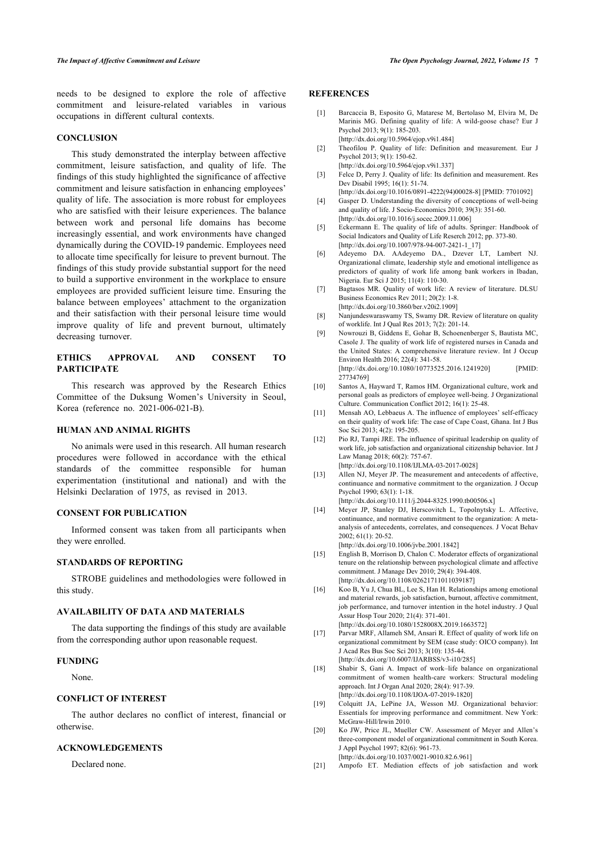<span id="page-6-0"></span>needs to be designed to explore the role of affective commitment and leisure-related variables in various occupations in different cultural contexts.

#### **CONCLUSION**

<span id="page-6-5"></span><span id="page-6-4"></span><span id="page-6-3"></span><span id="page-6-2"></span><span id="page-6-1"></span>This study demonstrated the interplay between affective commitment, leisure satisfaction, and quality of life. The findings of this study highlighted the significance of affective commitment and leisure satisfaction in enhancing employees' quality of life. The association is more robust for employees who are satisfied with their leisure experiences. The balance between work and personal life domains has become increasingly essential, and work environments have changed dynamically during the COVID-19 pandemic. Employees need to allocate time specifically for leisure to prevent burnout. The findings of this study provide substantial support for the need to build a supportive environment in the workplace to ensure employees are provided sufficient leisure time. Ensuring the balance between employees' attachment to the organization and their satisfaction with their personal leisure time would improve quality of life and prevent burnout, ultimately decreasing turnover.

# <span id="page-6-7"></span><span id="page-6-6"></span>**ETHICS APPROVAL AND CONSENT TO PARTICIPATE**

<span id="page-6-8"></span>This research was approved by the Research Ethics Committee of the Duksung Women's University in Seoul, Korea (reference no. 2021-006-021-B).

#### <span id="page-6-9"></span>**HUMAN AND ANIMAL RIGHTS**

<span id="page-6-11"></span><span id="page-6-10"></span>No animals were used in this research. All human research procedures were followed in accordance with the ethical standards of the committee responsible for human experimentation (institutional and national) and with the Helsinki Declaration of 1975, as revised in 2013.

#### <span id="page-6-12"></span>**CONSENT FOR PUBLICATION**

Informed consent was taken from all participants when they were enrolled.

# <span id="page-6-13"></span>**STANDARDS OF REPORTING**

<span id="page-6-14"></span>STROBE guidelines and methodologies were followed in this study.

# **AVAILABILITY OF DATA AND MATERIALS**

<span id="page-6-15"></span>The data supporting the findings of this study are available from the corresponding author upon reasonable request.

#### <span id="page-6-16"></span>**FUNDING**

None.

# <span id="page-6-17"></span>**CONFLICT OF INTEREST**

<span id="page-6-18"></span>The author declares no conflict of interest, financial or otherwise.

# <span id="page-6-19"></span>**ACKNOWLEDGEMENTS**

Declared none.

# **REFERENCES**

[27734769\]](http://www.ncbi.nlm.nih.gov/pubmed/27734769)

- [1] Barcaccia B, Esposito G, Matarese M, Bertolaso M, Elvira M, De Marinis MG. Defining quality of life: A wild-goose chase? Eur J Psychol 2013; 9(1): 185-203. [\[http://dx.doi.org/10.5964/ejop.v9i1.484\]](http://dx.doi.org/10.5964/ejop.v9i1.484)
- [2] Theofilou P. Quality of life: Definition and measurement. Eur J Psychol 2013; 9(1): 150-62.
- [\[http://dx.doi.org/10.5964/ejop.v9i1.337\]](http://dx.doi.org/10.5964/ejop.v9i1.337) [3] Felce D, Perry J. Quality of life: Its definition and measurement. Res Dev Disabil 1995; 16(1): 51-74.
- [\[http://dx.doi.org/10.1016/0891-4222\(94\)00028-8\]](http://dx.doi.org/10.1016/0891-4222(94)00028-8) [PMID: [7701092\]](http://www.ncbi.nlm.nih.gov/pubmed/7701092) [4] Gasper D. Understanding the diversity of conceptions of well-being
- and quality of life. J Socio-Economics 2010; 39(3): 351-60. [\[http://dx.doi.org/10.1016/j.socec.2009.11.006](http://dx.doi.org/10.1016/j.socec.2009.11.006)]
- [5] Eckermann E. The quality of life of adults. Springer: Handbook of Social Indicators and Quality of Life Reserch 2012; pp. 373-80. [\[http://dx.doi.org/10.1007/978-94-007-2421-1\\_17\]](http://dx.doi.org/10.1007/978-94-007-2421-1_17)
- [6] Adeyemo DA. AAdeyemo DA., Dzever LT, Lambert NJ. Organizational climate, leadership style and emotional intelligence as predictors of quality of work life among bank workers in Ibadan, Nigeria. Eur Sci J 2015; 11(4): 110-30.
- [7] Bagtasos MR. Quality of work life: A review of literature. DLSU Business Economics Rev 2011; 20(2): 1-8. [\[http://dx.doi.org/10.3860/ber.v20i2.1909\]](http://dx.doi.org/10.3860/ber.v20i2.1909)
- [8] Nanjundeswaraswamy TS, Swamy DR. Review of literature on quality of worklife. Int J Qual Res 2013; 7(2): 201-14.
- [9] Nowrouzi B, Giddens E, Gohar B, Schoenenberger S, Bautista MC, Casole J. The quality of work life of registered nurses in Canada and the United States: A comprehensive literature review. Int J Occup Environ Health 2016; 22(4): 341-58. [\[http://dx.doi.org/10.1080/10773525.2016.1241920](http://dx.doi.org/10.1080/10773525.2016.1241920)] [PMID:
- [10] Santos A, Hayward T, Ramos HM. Organizational culture, work and personal goals as predictors of employee well-being. J Organizational Culture. Communication Conflict 2012; 16(1): 25-48.
- [11] Mensah AO, Lebbaeus A. The influence of employees' self-efficacy on their quality of work life: The case of Cape Coast, Ghana. Int J Bus Soc Sci 2013; 4(2): 195-205.
- [12] Pio RJ, Tampi JRE. The influence of spiritual leadership on quality of work life, job satisfaction and organizational citizenship behavior. Int J Law Manag 2018; 60(2): 757-67. [\[http://dx.doi.org/10.1108/IJLMA-03-2017-0028](http://dx.doi.org/10.1108/IJLMA-03-2017-0028)]

[13] Allen NJ, Meyer JP. The measurement and antecedents of affective,

- continuance and normative commitment to the organization. J Occup Psychol 1990; 63(1): 1-18. [\[http://dx.doi.org/10.1111/j.2044-8325.1990.tb00506.x](http://dx.doi.org/10.1111/j.2044-8325.1990.tb00506.x)]
- [14] Meyer JP, Stanley DJ, Herscovitch L, Topolnytsky L. Affective, continuance, and normative commitment to the organization: A metaanalysis of antecedents, correlates, and consequences. J Vocat Behav 2002; 61(1): 20-52.

[\[http://dx.doi.org/10.1006/jvbe.2001.1842](http://dx.doi.org/10.1006/jvbe.2001.1842)]

- [15] English B, Morrison D, Chalon C. Moderator effects of organizational tenure on the relationship between psychological climate and affective commitment. J Manage Dev 2010; 29(4): 394-408. [\[http://dx.doi.org/10.1108/02621711011039187\]](http://dx.doi.org/10.1108/02621711011039187)
- [16] Koo B, Yu J, Chua BL, Lee S, Han H. Relationships among emotional and material rewards, job satisfaction, burnout, affective commitment, job performance, and turnover intention in the hotel industry. J Qual Assur Hosp Tour 2020; 21(4): 371-401. [\[http://dx.doi.org/10.1080/1528008X.2019.1663572](http://dx.doi.org/10.1080/1528008X.2019.1663572)]
- [17] Parvar MRF, Allameh SM, Ansari R. Effect of quality of work life on organizational commitment by SEM (case study: OICO company). Int J Acad Res Bus Soc Sci 2013; 3(10): 135-44. [\[http://dx.doi.org/10.6007/IJARBSS/v3-i10/285](http://dx.doi.org/10.6007/IJARBSS/v3-i10/285)]
- [18] Shabir S, Gani A. Impact of work–life balance on organizational commitment of women health-care workers: Structural modeling approach. Int J Organ Anal 2020; 28(4): 917-39. [\[http://dx.doi.org/10.1108/IJOA-07-2019-1820\]](http://dx.doi.org/10.1108/IJOA-07-2019-1820)
- [19] Colquitt JA, LePine JA, Wesson MJ. Organizational behavior: Essentials for improving performance and commitment. New York: McGraw-Hill/Irwin 2010.
- [20] Ko JW, Price JL, Mueller CW. Assessment of Meyer and Allen's three-component model of organizational commitment in South Korea. J Appl Psychol 1997; 82(6): 961-73. [\[http://dx.doi.org/10.1037/0021-9010.82.6.961](http://dx.doi.org/10.1037/0021-9010.82.6.961)]
- [21] Ampofo ET. Mediation effects of job satisfaction and work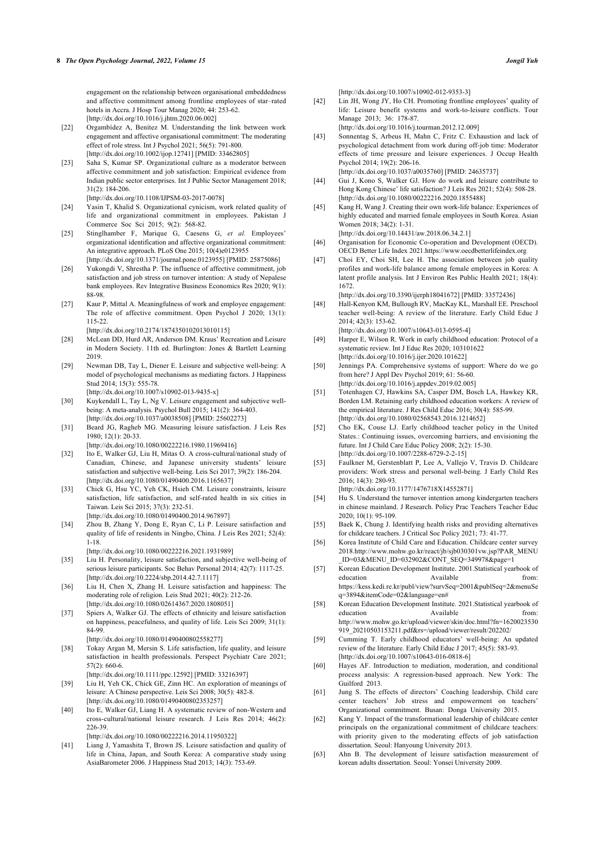engagement on the relationship between organisational embeddedness and affective commitment among frontline employees of star–rated hotels in Accra. J Hosp Tour Manag 2020; 44: 253-62. [\[http://dx.doi.org/10.1016/j.jhtm.2020.06.002](http://dx.doi.org/10.1016/j.jhtm.2020.06.002)]

- <span id="page-7-18"></span><span id="page-7-17"></span>[22] Orgambídez A, Benítez M. Understanding the link between work engagement and affective organisational commitment: The moderating effect of role stress. Int J Psychol 2021; 56(5): 791-800. [\[http://dx.doi.org/10.1002/ijop.12741](http://dx.doi.org/10.1002/ijop.12741)] [PMID: [33462805\]](http://www.ncbi.nlm.nih.gov/pubmed/33462805)
- <span id="page-7-19"></span>[23] Saha S, Kumar SP. Organizational culture as a moderator between affective commitment and job satisfaction: Empirical evidence from Indian public sector enterprises. Int J Public Sector Management 2018; 31(2): 184-206.
- [\[http://dx.doi.org/10.1108/IJPSM-03-2017-0078](http://dx.doi.org/10.1108/IJPSM-03-2017-0078)]
- <span id="page-7-0"></span>[24] Yasin T, Khalid S. Organizational cynicism, work related quality of life and organizational commitment in employees. Pakistan J Commerce Soc Sci 2015; 9(2): 568-82.
- <span id="page-7-20"></span><span id="page-7-1"></span>[25] Stinglhamber F, Marique G, Caesens G, *et al.* Employees' organizational identification and affective organizational commitment: An integrative approach. PLoS One 2015; 10(4)e0123955 [\[http://dx.doi.org/10.1371/journal.pone.0123955\]](http://dx.doi.org/10.1371/journal.pone.0123955) [PMID: [25875086](http://www.ncbi.nlm.nih.gov/pubmed/25875086)]
- <span id="page-7-21"></span><span id="page-7-2"></span>[26] Yukongdi V, Shrestha P. The influence of affective commitment, job satisfaction and job stress on turnover intention: A study of Nepalese bank employees. Rev Integrative Business Economics Res 2020; 9(1): 88-98.
- <span id="page-7-3"></span>[27] Kaur P, Mittal A. Meaningfulness of work and employee engagement: The role of affective commitment. Open Psychol J 2020; 13(1): 115-22.

[\[http://dx.doi.org/10.2174/1874350102013010115\]](http://dx.doi.org/10.2174/1874350102013010115)

- <span id="page-7-4"></span>[28] McLean DD, Hurd AR, Anderson DM. Kraus' Recreation and Leisure in Modern Society. 11th ed. Burlington: Jones & Bartlett Learning 2019.
- <span id="page-7-5"></span>[29] Newman DB, Tay L, Diener E. Leisure and subjective well-being: A model of psychological mechanisms as mediating factors. J Happiness Stud 2014; 15(3): 555-78.

[\[http://dx.doi.org/10.1007/s10902-013-9435-x](http://dx.doi.org/10.1007/s10902-013-9435-x)]

- <span id="page-7-22"></span><span id="page-7-6"></span>[30] Kuykendall L, Tay L, Ng V. Leisure engagement and subjective wellbeing: A meta-analysis. Psychol Bull 2015; 141(2): 364-403. [\[http://dx.doi.org/10.1037/a0038508\]](http://dx.doi.org/10.1037/a0038508) [PMID: [25602273](http://www.ncbi.nlm.nih.gov/pubmed/25602273)]
- <span id="page-7-7"></span>[31] Beard JG, Ragheb MG. Measuring leisure satisfaction. J Leis Res 1980; 12(1): 20-33.

[\[http://dx.doi.org/10.1080/00222216.1980.11969416\]](http://dx.doi.org/10.1080/00222216.1980.11969416)

- <span id="page-7-23"></span><span id="page-7-8"></span>[32] Ito E, Walker GJ, Liu H, Mitas O. A cross-cultural/national study of Canadian, Chinese, and Japanese university students' leisure satisfaction and subjective well-being. Leis Sci 2017; 39(2): 186-204. [\[http://dx.doi.org/10.1080/01490400.2016.1165637](http://dx.doi.org/10.1080/01490400.2016.1165637)]
- <span id="page-7-24"></span><span id="page-7-9"></span>[33] Chick G, Hsu YC, Yeh CK, Hsieh CM. Leisure constraints, leisure satisfaction, life satisfaction, and self-rated health in six cities in Taiwan. Leis Sci 2015; 37(3): 232-51. [\[http://dx.doi.org/10.1080/01490400.2014.967897\]](http://dx.doi.org/10.1080/01490400.2014.967897)
- <span id="page-7-25"></span><span id="page-7-10"></span>[34] Zhou B, Zhang Y, Dong E, Ryan C, Li P. Leisure satisfaction and quality of life of residents in Ningbo, China. J Leis Res 2021; 52(4): 1-18.

[\[http://dx.doi.org/10.1080/00222216.2021.1931989](http://dx.doi.org/10.1080/00222216.2021.1931989)]

- <span id="page-7-26"></span><span id="page-7-11"></span>[35] Liu H. Personality, leisure satisfaction, and subjective well-being of serious leisure participants. Soc Behav Personal 2014; 42(7): 1117-25. [\[http://dx.doi.org/10.2224/sbp.2014.42.7.1117](http://dx.doi.org/10.2224/sbp.2014.42.7.1117)]
- <span id="page-7-12"></span>[36] Liu H, Chen X, Zhang H. Leisure satisfaction and happiness: The moderating role of religion. Leis Stud 2021; 40(2): 212-26. [\[http://dx.doi.org/10.1080/02614367.2020.1808051](http://dx.doi.org/10.1080/02614367.2020.1808051)]
- <span id="page-7-27"></span><span id="page-7-13"></span>[37] Spiers A, Walker GJ. The effects of ethnicity and leisure satisfaction on happiness, peacefulness, and quality of life. Leis Sci 2009; 31(1): 84-99.
	- [\[http://dx.doi.org/10.1080/01490400802558277\]](http://dx.doi.org/10.1080/01490400802558277)
- <span id="page-7-33"></span><span id="page-7-29"></span><span id="page-7-28"></span>[38] Tokay Argan M, Mersin S. Life satisfaction, life quality, and leisure satisfaction in health professionals. Perspect Psychiatr Care 2021;  $57(2)$ : 660-6
	- [\[http://dx.doi.org/10.1111/ppc.12592\]](http://dx.doi.org/10.1111/ppc.12592) [PMID: [33216397](http://www.ncbi.nlm.nih.gov/pubmed/33216397)]
- <span id="page-7-30"></span><span id="page-7-14"></span>[39] Liu H, Yeh CK, Chick GE, Zinn HC. An exploration of meanings of leisure: A Chinese perspective. Leis Sci 2008; 30(5): 482-8. [\[http://dx.doi.org/10.1080/01490400802353257\]](http://dx.doi.org/10.1080/01490400802353257)
- <span id="page-7-31"></span><span id="page-7-15"></span>[40] Ito E, Walker GJ, Liang H. A systematic review of non-Western and cross-cultural/national leisure research. J Leis Res 2014; 46(2): 226-39.

[\[http://dx.doi.org/10.1080/00222216.2014.11950322\]](http://dx.doi.org/10.1080/00222216.2014.11950322)

<span id="page-7-32"></span><span id="page-7-16"></span>[41] Liang J, Yamashita T, Brown JS. Leisure satisfaction and quality of life in China, Japan, and South Korea: A comparative study using AsiaBarometer 2006. J Happiness Stud 2013; 14(3): 753-69.

[\[http://dx.doi.org/10.1007/s10902-012-9353-3\]](http://dx.doi.org/10.1007/s10902-012-9353-3)

[42] Lin JH, Wong JY, Ho CH. Promoting frontline employees' quality of life: Leisure benefit systems and work-to-leisure conflicts. Tour Manage 2013; 36: 178-87.

[\[http://dx.doi.org/10.1016/j.tourman.2012.12.009](http://dx.doi.org/10.1016/j.tourman.2012.12.009)]

[43] Sonnentag S, Arbeus H, Mahn C, Fritz C. Exhaustion and lack of psychological detachment from work during off-job time: Moderator effects of time pressure and leisure experiences. J Occup Health Psychol 2014; 19(2): 206-16. [\[http://dx.doi.org/10.1037/a0035760](http://dx.doi.org/10.1037/a0035760)] [PMID: [24635737\]](http://www.ncbi.nlm.nih.gov/pubmed/24635737)

- [44] Gui J, Kono S, Walker GJ. How do work and leisure contribute to Hong Kong Chinese' life satisfaction? J Leis Res 2021; 52(4): 508-28. [\[http://dx.doi.org/10.1080/00222216.2020.1855488](http://dx.doi.org/10.1080/00222216.2020.1855488)]
- [45] Kang H, Wang J. Creating their own work-life balance: Experiences of highly educated and married female employees in South Korea. Asian Women 2018; 34(2): 1-31. [\[http://dx.doi.org/10.14431/aw.2018.06.34.2.1\]](http://dx.doi.org/10.14431/aw.2018.06.34.2.1)
- [46] Organisation for Economic Co-operation and Development (OECD).
- OECD Better Life Index 2021[.https://www.oecdbetterlifeindex.org](https://www.oecdbetterlifeindex.org) [47] Choi EY, Choi SH, Lee H. The association between job quality profiles and work-life balance among female employees in Korea: A latent profile analysis. Int J Environ Res Public Health 2021; 18(4): 1672.

[\[http://dx.doi.org/10.3390/ijerph18041672\]](http://dx.doi.org/10.3390/ijerph18041672) [PMID: [33572436](http://www.ncbi.nlm.nih.gov/pubmed/33572436)]

- [48] Hall-Kenyon KM, Bullough RV, MacKay KL, Marshall EE. Preschool teacher well-being: A review of the literature. Early Child Educ J 2014; 42(3): 153-62. [\[http://dx.doi.org/10.1007/s10643-013-0595-4\]](http://dx.doi.org/10.1007/s10643-013-0595-4)
- [49] Harper E, Wilson R. Work in early childhood education: Protocol of a systematic review. Int J Educ Res 2020; 103101622
- [\[http://dx.doi.org/10.1016/j.ijer.2020.101622\]](http://dx.doi.org/10.1016/j.ijer.2020.101622) [50] Jennings PA. Comprehensive systems of support: Where do we go from here? J Appl Dev Psychol 2019; 61: 56-60.

[\[http://dx.doi.org/10.1016/j.appdev.2019.02.005](http://dx.doi.org/10.1016/j.appdev.2019.02.005)]

- [51] Totenhagen CJ, Hawkins SA, Casper DM, Bosch LA, Hawkey KR, Borden LM. Retaining early childhood education workers: A review of the empirical literature. J Res Child Educ 2016; 30(4): 585-99. [\[http://dx.doi.org/10.1080/02568543.2016.1214652](http://dx.doi.org/10.1080/02568543.2016.1214652)]
- [52] Cho EK, Couse LJ. Early childhood teacher policy in the United States.: Continuing issues, overcoming barriers, and envisioning the future. Int J Child Care Educ Policy 2008; 2(2): 15-30. [\[http://dx.doi.org/10.1007/2288-6729-2-2-15\]](http://dx.doi.org/10.1007/2288-6729-2-2-15)
- [53] Faulkner M, Gerstenblatt P, Lee A, Vallejo V, Travis D. Childcare providers: Work stress and personal well-being. J Early Child Res 2016; 14(3): 280-93.

[\[http://dx.doi.org/10.1177/1476718X14552871](http://dx.doi.org/10.1177/1476718X14552871)]

- [54] Hu S. Understand the turnover intention among kindergarten teachers in chinese mainland. J Research. Policy Prac Teachers Teacher Educ 2020; 10(1): 95-109.
- [55] Baek K, Chung J. Identifying health risks and providing alternatives for childcare teachers. J Critical Soc Policy 2021; 73: 41-77.
- [56] Korea Institute of Child Care and Education. Childcare center survey 2018.[http://www.mohw.go.kr/react/jb/sjb030301vw.jsp?PAR\\_MENU](http://www.mohw.go.kr/react/jb/sjb030301vw.jsp?PAR_MENU_ID=03&MENU_ID=032902&CONT_SEQ=349978&page=1) [\\_ID=03&MENU\\_ID=032902&CONT\\_SEQ=349978&page=1](http://www.mohw.go.kr/react/jb/sjb030301vw.jsp?PAR_MENU_ID=03&MENU_ID=032902&CONT_SEQ=349978&page=1)
- [57] Korean Education Development Institute. 2001.Statistical yearbook of education Available from: [https://kess.kedi.re.kr/publ/view?survSeq=2001&publSeq=2&menuSe](https://kess.kedi.re.kr/publ/view?survSeq=2001&publSeq=2&menuSeq=3894&itemCode=02&language=en#) [q=3894&itemCode=02&language=en#](https://kess.kedi.re.kr/publ/view?survSeq=2001&publSeq=2&menuSeq=3894&itemCode=02&language=en#)
- [58] Korean Education Development Institute. 2021.Statistical yearbook of education Available from: [http://www.mohw.go.kr/upload/viewer/skin/doc.html?fn=1620023530](http://www.mohw.go.kr/upload/viewer/skin/doc.html?fn=1620023530919_20210503153211.pdf&rs=/upload/viewer/result/202202/) [919\\_20210503153211.pdf&rs=/upload/viewer/result/202202/](http://www.mohw.go.kr/upload/viewer/skin/doc.html?fn=1620023530919_20210503153211.pdf&rs=/upload/viewer/result/202202/)
- [59] Cumming T. Early childhood educators' well-being: An updated review of the literature. Early Child Educ J 2017; 45(5): 583-93. [\[http://dx.doi.org/10.1007/s10643-016-0818-6\]](http://dx.doi.org/10.1007/s10643-016-0818-6)
- [60] Hayes AF. Introduction to mediation, moderation, and conditional process analysis: A regression-based approach. New York: The Guilford 2013.
- [61] Jung S. The effects of directors' Coaching leadership, Child care center teachers' Job stress and empowerment on teachers' Organizational commitment. Busan: Donga University 2015.
- [62] Kang Y. Impact of the transformational leadership of childcare center principals on the organizational commitment of childcare teachers: with priority given to the moderating effects of job satisfaction dissertation. Seoul: Hanyoung University 2013.
- [63] Ahn B. The development of leisure satisfaction measurement of korean adults dissertation. Seoul: Yonsei University 2009.